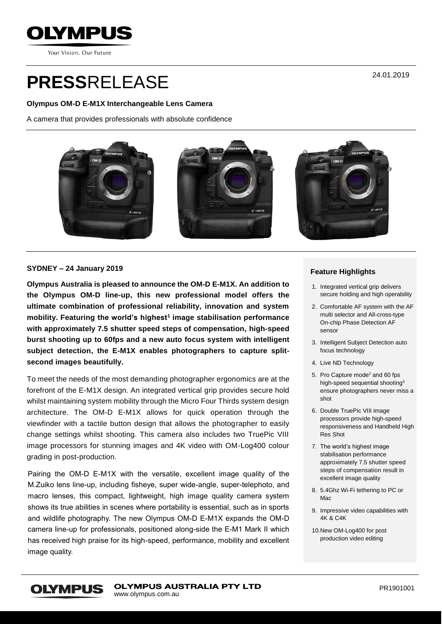

Your Vision, Our Future

# **PRESS**RELEASE

#### **Olympus OM-D E-M1X Interchangeable Lens Camera**

A camera that provides professionals with absolute confidence



#### **SYDNEY – 24 January 2019**

**Olympus Australia is pleased to announce the OM-D E-M1X. An addition to the Olympus OM-D line-up, this new professional model offers the ultimate combination of professional reliability, innovation and system mobility. Featuring the world's highest<sup>1</sup> image stabilisation performance with approximately 7.5 shutter speed steps of compensation, high-speed burst shooting up to 60fps and a new auto focus system with intelligent subject detection, the E-M1X enables photographers to capture splitsecond images beautifully.**

To meet the needs of the most demanding photographer ergonomics are at the forefront of the E-M1X design. An integrated vertical grip provides secure hold whilst maintaining system mobility through the Micro Four Thirds system design architecture. The OM-D E-M1X allows for quick operation through the viewfinder with a tactile button design that allows the photographer to easily change settings whilst shooting. This camera also includes two TruePic VIII image processors for stunning images and 4K video with OM-Log400 colour grading in post-production.

Pairing the OM-D E-M1X with the versatile, excellent image quality of the M.Zuiko lens line-up, including fisheye, super wide-angle, super-telephoto, and macro lenses, this compact, lightweight, high image quality camera system shows its true abilities in scenes where portability is essential, such as in sports and wildlife photography. The new Olympus OM-D E-M1X expands the OM-D camera line-up for professionals, positioned along-side the E-M1 Mark II which has received high praise for its high-speed, performance, mobility and excellent image quality.

#### **Feature Highlights**

- 1. Integrated vertical grip delivers secure holding and high operability
- 2. Comfortable AF system with the AF multi selector and All-cross-type On-chip Phase Detection AF sensor
- 3. Intelligent Subject Detection auto focus technology
- 4. Live ND Technology
- 5. Pro Capture mode<sup>2</sup> and 60 fps high-speed sequential shooting<sup>3</sup> ensure photographers never miss a shot
- 6. Double TruePic VIII image processors provide high-speed responsiveness and Handheld High Res Shot
- 7. The world's highest image stabilisation performance approximately 7.5 shutter speed steps of compensation result in excellent image quality
- 8. 5.4Ghz Wi-Fi tethering to PC or Mac
- 9. Impressive video capabilities with 4K & C4K
- 10.New OM-Log400 for post production video editing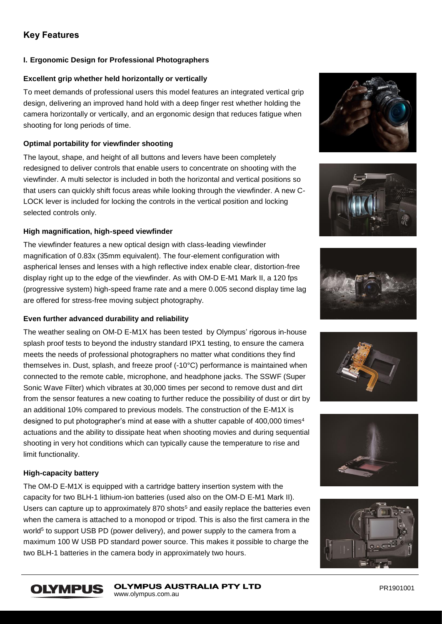# **Key Features**

# **I. Ergonomic Design for Professional Photographers**

### **Excellent grip whether held horizontally or vertically**

To meet demands of professional users this model features an integrated vertical grip design, delivering an improved hand hold with a deep finger rest whether holding the camera horizontally or vertically, and an ergonomic design that reduces fatigue when shooting for long periods of time.

## **Optimal portability for viewfinder shooting**

The layout, shape, and height of all buttons and levers have been completely redesigned to deliver controls that enable users to concentrate on shooting with the viewfinder. A multi selector is included in both the horizontal and vertical positions so that users can quickly shift focus areas while looking through the viewfinder. A new C-LOCK lever is included for locking the controls in the vertical position and locking selected controls only.

## **High magnification, high-speed viewfinder**

The viewfinder features a new optical design with class-leading viewfinder magnification of 0.83x (35mm equivalent). The four-element configuration with aspherical lenses and lenses with a high reflective index enable clear, distortion-free display right up to the edge of the viewfinder. As with OM-D E-M1 Mark II, a 120 fps (progressive system) high-speed frame rate and a mere 0.005 second display time lag are offered for stress-free moving subject photography.

# **Even further advanced durability and reliability**

The weather sealing on OM-D E-M1X has been tested by Olympus' rigorous in-house splash proof tests to beyond the industry standard IPX1 testing, to ensure the camera meets the needs of professional photographers no matter what conditions they find themselves in. Dust, splash, and freeze proof (-10°C) performance is maintained when connected to the remote cable, microphone, and headphone jacks. The SSWF (Super Sonic Wave Filter) which vibrates at 30,000 times per second to remove dust and dirt from the sensor features a new coating to further reduce the possibility of dust or dirt by an additional 10% compared to previous models. The construction of the E-M1X is designed to put photographer's mind at ease with a shutter capable of  $400,000$  times<sup>4</sup> actuations and the ability to dissipate heat when shooting movies and during sequential shooting in very hot conditions which can typically cause the temperature to rise and limit functionality.

# **High-capacity battery**

The OM-D E-M1X is equipped with a cartridge battery insertion system with the capacity for two BLH-1 lithium-ion batteries (used also on the OM-D E-M1 Mark II). Users can capture up to approximately 870 shots<sup>5</sup> and easily replace the batteries even when the camera is attached to a monopod or tripod. This is also the first camera in the world<sup>5</sup> to support USB PD (power delivery), and power supply to the camera from a maximum 100 W USB PD standard power source. This makes it possible to charge the two BLH-1 batteries in the camera body in approximately two hours.













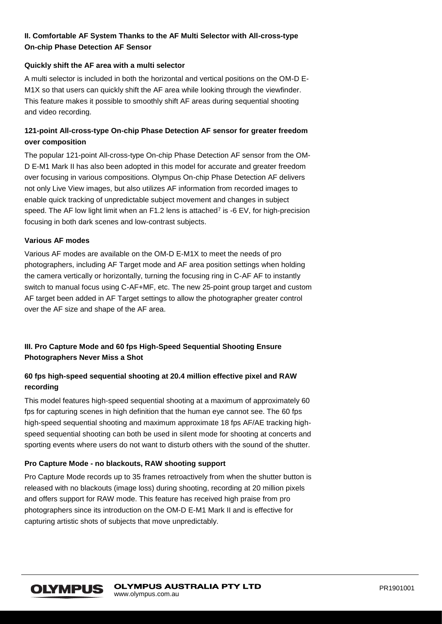# **II. Comfortable AF System Thanks to the AF Multi Selector with All-cross-type On-chip Phase Detection AF Sensor**

#### **Quickly shift the AF area with a multi selector**

A multi selector is included in both the horizontal and vertical positions on the OM-D E-M1X so that users can quickly shift the AF area while looking through the viewfinder. This feature makes it possible to smoothly shift AF areas during sequential shooting and video recording.

# **121-point All-cross-type On-chip Phase Detection AF sensor for greater freedom over composition**

The popular 121-point All-cross-type On-chip Phase Detection AF sensor from the OM-D E-M1 Mark II has also been adopted in this model for accurate and greater freedom over focusing in various compositions. Olympus On-chip Phase Detection AF delivers not only Live View images, but also utilizes AF information from recorded images to enable quick tracking of unpredictable subject movement and changes in subject speed. The AF low light limit when an F1.2 lens is attached<sup>7</sup> is -6 EV, for high-precision focusing in both dark scenes and low-contrast subjects.

## **Various AF modes**

Various AF modes are available on the OM-D E-M1X to meet the needs of pro photographers, including AF Target mode and AF area position settings when holding the camera vertically or horizontally, turning the focusing ring in C-AF AF to instantly switch to manual focus using C-AF+MF, etc. The new 25-point group target and custom AF target been added in AF Target settings to allow the photographer greater control over the AF size and shape of the AF area.

# **III. Pro Capture Mode and 60 fps High-Speed Sequential Shooting Ensure Photographers Never Miss a Shot**

# **60 fps high-speed sequential shooting at 20.4 million effective pixel and RAW recording**

This model features high-speed sequential shooting at a maximum of approximately 60 fps for capturing scenes in high definition that the human eye cannot see. The 60 fps high-speed sequential shooting and maximum approximate 18 fps AF/AE tracking highspeed sequential shooting can both be used in silent mode for shooting at concerts and sporting events where users do not want to disturb others with the sound of the shutter.

# **Pro Capture Mode - no blackouts, RAW shooting support**

Pro Capture Mode records up to 35 frames retroactively from when the shutter button is released with no blackouts (image loss) during shooting, recording at 20 million pixels and offers support for RAW mode. This feature has received high praise from pro photographers since its introduction on the OM-D E-M1 Mark II and is effective for capturing artistic shots of subjects that move unpredictably.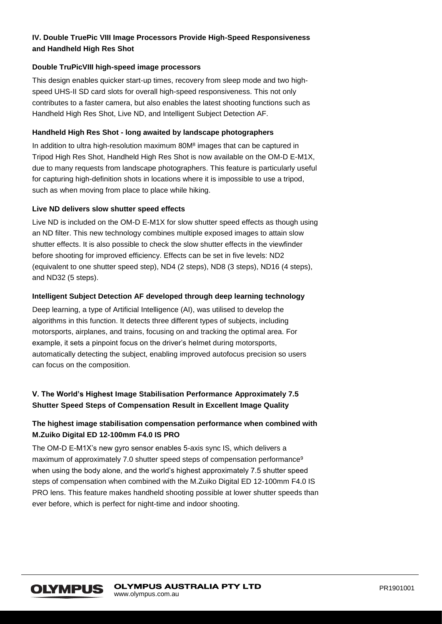# **IV. Double TruePic VIII Image Processors Provide High-Speed Responsiveness and Handheld High Res Shot**

#### **Double TruPicVIII high-speed image processors**

This design enables quicker start-up times, recovery from sleep mode and two highspeed UHS-II SD card slots for overall high-speed responsiveness. This not only contributes to a faster camera, but also enables the latest shooting functions such as Handheld High Res Shot, Live ND, and Intelligent Subject Detection AF.

## **Handheld High Res Shot - long awaited by landscape photographers**

In addition to ultra high-resolution maximum 80M<sup>8</sup> images that can be captured in Tripod High Res Shot, Handheld High Res Shot is now available on the OM-D E-M1X, due to many requests from landscape photographers. This feature is particularly useful for capturing high-definition shots in locations where it is impossible to use a tripod, such as when moving from place to place while hiking.

## **Live ND delivers slow shutter speed effects**

Live ND is included on the OM-D E-M1X for slow shutter speed effects as though using an ND filter. This new technology combines multiple exposed images to attain slow shutter effects. It is also possible to check the slow shutter effects in the viewfinder before shooting for improved efficiency. Effects can be set in five levels: ND2 (equivalent to one shutter speed step), ND4 (2 steps), ND8 (3 steps), ND16 (4 steps), and ND32 (5 steps).

## **Intelligent Subject Detection AF developed through deep learning technology**

Deep learning, a type of Artificial Intelligence (AI), was utilised to develop the algorithms in this function. It detects three different types of subjects, including motorsports, airplanes, and trains, focusing on and tracking the optimal area. For example, it sets a pinpoint focus on the driver's helmet during motorsports, automatically detecting the subject, enabling improved autofocus precision so users can focus on the composition.

# **V. The World's Highest Image Stabilisation Performance Approximately 7.5 Shutter Speed Steps of Compensation Result in Excellent Image Quality**

# **The highest image stabilisation compensation performance when combined with M.Zuiko Digital ED 12-100mm F4.0 IS PRO**

The OM-D E-M1X's new gyro sensor enables 5-axis sync IS, which delivers a maximum of approximately 7.0 shutter speed steps of compensation performance<sup>9</sup> when using the body alone, and the world's highest approximately 7.5 shutter speed steps of compensation when combined with the M.Zuiko Digital ED 12-100mm F4.0 IS PRO lens. This feature makes handheld shooting possible at lower shutter speeds than ever before, which is perfect for night-time and indoor shooting.

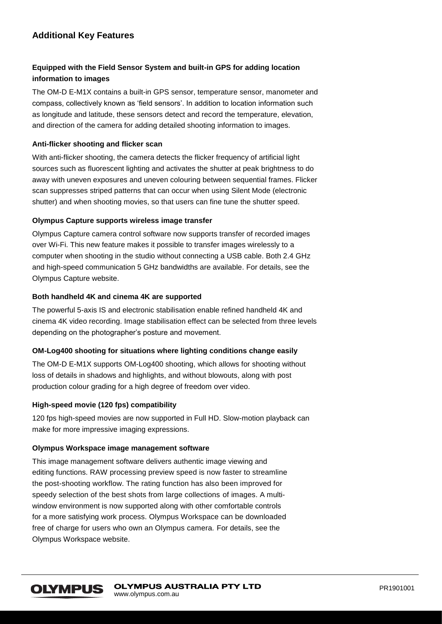# **Additional Key Features**

# **Equipped with the Field Sensor System and built-in GPS for adding location information to images**

The OM-D E-M1X contains a built-in GPS sensor, temperature sensor, manometer and compass, collectively known as 'field sensors'. In addition to location information such as longitude and latitude, these sensors detect and record the temperature, elevation, and direction of the camera for adding detailed shooting information to images.

## **Anti-flicker shooting and flicker scan**

With anti-flicker shooting, the camera detects the flicker frequency of artificial light sources such as fluorescent lighting and activates the shutter at peak brightness to do away with uneven exposures and uneven colouring between sequential frames. Flicker scan suppresses striped patterns that can occur when using Silent Mode (electronic shutter) and when shooting movies, so that users can fine tune the shutter speed.

## **Olympus Capture supports wireless image transfer**

Olympus Capture camera control software now supports transfer of recorded images over Wi-Fi. This new feature makes it possible to transfer images wirelessly to a computer when shooting in the studio without connecting a USB cable. Both 2.4 GHz and high-speed communication 5 GHz bandwidths are available. For details, see the Olympus Capture website.

## **Both handheld 4K and cinema 4K are supported**

The powerful 5-axis IS and electronic stabilisation enable refined handheld 4K and cinema 4K video recording. Image stabilisation effect can be selected from three levels depending on the photographer's posture and movement.

# **OM-Log400 shooting for situations where lighting conditions change easily**

The OM-D E-M1X supports OM-Log400 shooting, which allows for shooting without loss of details in shadows and highlights, and without blowouts, along with post production colour grading for a high degree of freedom over video.

#### **High-speed movie (120 fps) compatibility**

120 fps high-speed movies are now supported in Full HD. Slow-motion playback can make for more impressive imaging expressions.

#### **Olympus Workspace image management software**

This image management software delivers authentic image viewing and editing functions. RAW processing preview speed is now faster to streamline the post-shooting workflow. The rating function has also been improved for speedy selection of the best shots from large collections of images. A multiwindow environment is now supported along with other comfortable controls for a more satisfying work process. Olympus Workspace can be downloaded free of charge for users who own an Olympus camera. For details, see the Olympus Workspace website.